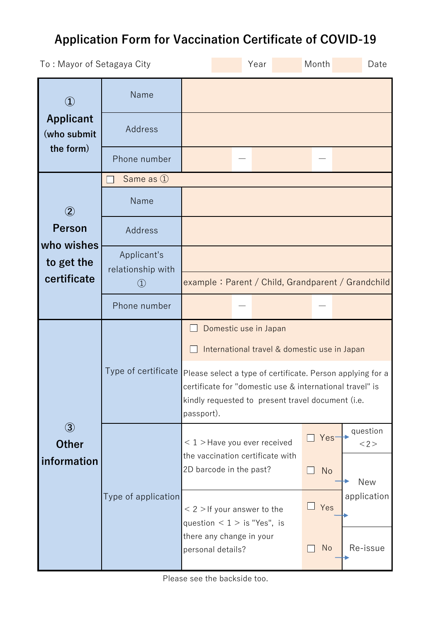## **Application Form for Vaccination Certificate of COVID-19**

| To: Mayor of Setagaya City      |                                                                    |                                                                                                                                                                                           | Year |           | Month      | Date                                              |
|---------------------------------|--------------------------------------------------------------------|-------------------------------------------------------------------------------------------------------------------------------------------------------------------------------------------|------|-----------|------------|---------------------------------------------------|
| $\bf (1)$                       | Name                                                               |                                                                                                                                                                                           |      |           |            |                                                   |
| <b>Applicant</b><br>(who submit | Address                                                            |                                                                                                                                                                                           |      |           |            |                                                   |
| the form)                       | Phone number                                                       |                                                                                                                                                                                           |      |           |            |                                                   |
|                                 | Same as 1                                                          |                                                                                                                                                                                           |      |           |            |                                                   |
| $\circled{2}$                   | Name                                                               |                                                                                                                                                                                           |      |           |            |                                                   |
| <b>Person</b><br>who wishes     | Address                                                            |                                                                                                                                                                                           |      |           |            |                                                   |
| to get the<br>certificate       | Applicant's<br>relationship with<br>$\textcircled{\scriptsize{1}}$ |                                                                                                                                                                                           |      |           |            | example: Parent / Child, Grandparent / Grandchild |
|                                 | Phone number                                                       |                                                                                                                                                                                           |      |           |            |                                                   |
|                                 | Type of certificate                                                | Domestic use in Japan<br>International travel & domestic use in Japan                                                                                                                     |      |           |            |                                                   |
|                                 |                                                                    | Please select a type of certificate. Person applying for a<br>certificate for "domestic use & international travel" is<br>kindly requested to present travel document (i.e.<br>passport). |      |           |            |                                                   |
| $\circled{3}$<br><b>Other</b>   | Type of application                                                | $< 1$ > Have you ever received<br>the vaccination certificate with                                                                                                                        |      |           | Yes-       | question<br><2>                                   |
| information                     |                                                                    | 2D barcode in the past?                                                                                                                                                                   |      | <b>No</b> | <b>New</b> |                                                   |
|                                 |                                                                    | $<$ 2 > If your answer to the<br>question $< 1 >$ is "Yes", is                                                                                                                            |      |           | Yes        | application                                       |
|                                 |                                                                    | there any change in your<br>personal details?                                                                                                                                             |      |           | <b>No</b>  | Re-issue                                          |